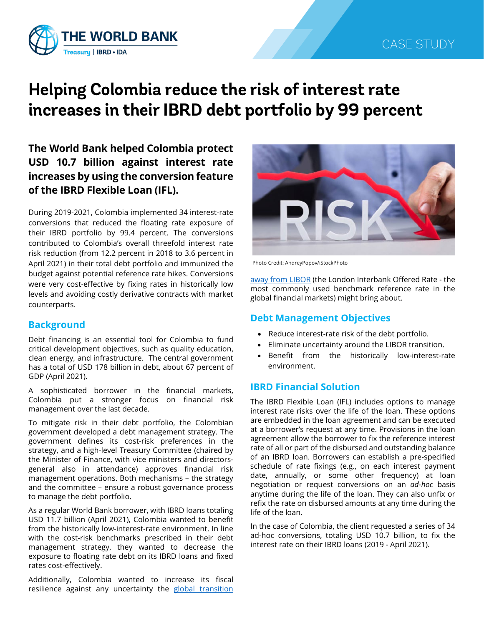

# **Helping Colombia reduce the risk of interest rate increases in their IBRD debt portfolio by 99 percent**

**The World Bank helped Colombia protect USD 10.7 billion against interest rate increases by using the conversion feature of the IBRD Flexible Loan (IFL).**

During 2019-2021, Colombia implemented 34 interest-rate conversions that reduced the floating rate exposure of their IBRD portfolio by 99.4 percent. The conversions contributed to Colombia's overall threefold interest rate risk reduction (from 12.2 percent in 2018 to 3.6 percent in April 2021) in their total debt portfolio and immunized the budget against potential reference rate hikes. Conversions were very cost-effective by fixing rates in historically low levels and avoiding costly derivative contracts with market counterparts.

## **Background**

Debt financing is an essential tool for Colombia to fund critical development objectives, such as quality education, clean energy, and infrastructure. The central government has a total of USD 178 billion in debt, about 67 percent of GDP (April 2021).

A sophisticated borrower in the financial markets, Colombia put a stronger focus on financial risk management over the last decade.

To mitigate risk in their debt portfolio, the Colombian government developed a debt management strategy. The government defines its cost-risk preferences in the strategy, and a high-level Treasury Committee (chaired by the Minister of Finance, with vice ministers and directorsgeneral also in attendance) approves financial risk management operations. Both mechanisms – the strategy and the committee – ensure a robust governance process to manage the debt portfolio.

As a regular World Bank borrower, with IBRD loans totaling USD 11.7 billion (April 2021), Colombia wanted to benefit from the historically low-interest-rate environment. In line with the cost-risk benchmarks prescribed in their debt management strategy, they wanted to decrease the exposure to floating rate debt on its IBRD loans and fixed rates cost-effectively.

Additionally, Colombia wanted to increase its fiscal resilience against any uncertainty the global transition



Photo Credit: AndreyPopov/iStockPhoto

[away from LIBOR](https://treasury.worldbank.org/en/about/unit/treasury/ibrd-financial-products/libor-transition) (the London Interbank Offered Rate - the most commonly used benchmark reference rate in the global financial markets) might bring about.

# **Debt Management Objectives**

- Reduce interest-rate risk of the debt portfolio.
- Eliminate uncertainty around the LIBOR transition.
- Benefit from the historically low-interest-rate environment.

# **IBRD Financial Solution**

The IBRD Flexible Loan (IFL) includes options to manage interest rate risks over the life of the loan. These options are embedded in the loan agreement and can be executed at a borrower's request at any time. Provisions in the loan agreement allow the borrower to fix the reference interest rate of all or part of the disbursed and outstanding balance of an IBRD loan. Borrowers can establish a pre-specified schedule of rate fixings (e.g., on each interest payment date, annually, or some other frequency) at loan negotiation or request conversions on an *ad-hoc* basis anytime during the life of the loan. They can also unfix or refix the rate on disbursed amounts at any time during the life of the loan.

In the case of Colombia, the client requested a series of 34 ad-hoc conversions, totaling USD 10.7 billion, to fix the interest rate on their IBRD loans (2019 - April 2021).